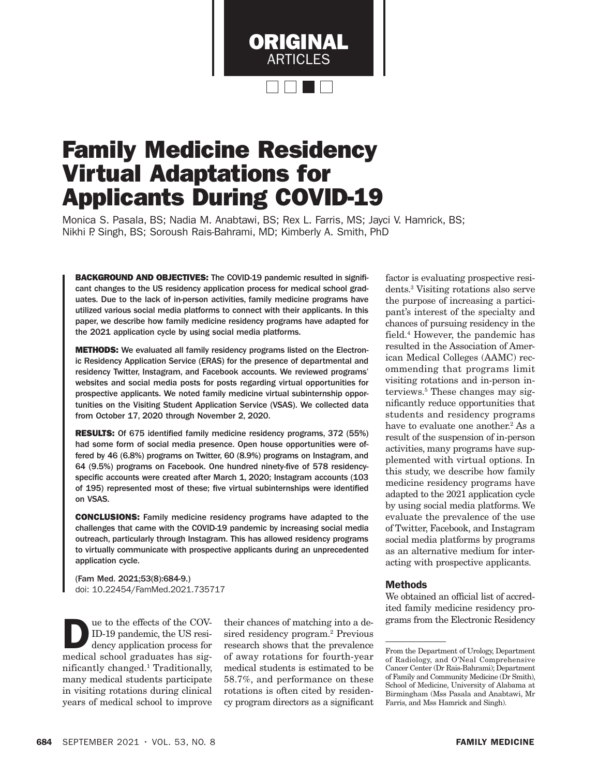

# Family Medicine Residency Virtual Adaptations for Applicants During COVID-19

Monica S. Pasala, BS; Nadia M. Anabtawi, BS; Rex L. Farris, MS; Jayci V. Hamrick, BS; Nikhi P. Singh, BS; Soroush Rais-Bahrami, MD; Kimberly A. Smith, PhD

BACKGROUND AND OBJECTIVES: The COVID-19 pandemic resulted in significant changes to the US residency application process for medical school graduates. Due to the lack of in-person activities, family medicine programs have utilized various social media platforms to connect with their applicants. In this paper, we describe how family medicine residency programs have adapted for the 2021 application cycle by using social media platforms.

METHODS: We evaluated all family residency programs listed on the Electronic Residency Application Service (ERAS) for the presence of departmental and residency Twitter, Instagram, and Facebook accounts. We reviewed programs' websites and social media posts for posts regarding virtual opportunities for prospective applicants. We noted family medicine virtual subinternship opportunities on the Visiting Student Application Service (VSAS). We collected data from October 17, 2020 through November 2, 2020.

RESULTS: Of 675 identified family medicine residency programs, 372 (55%) had some form of social media presence. Open house opportunities were offered by 46 (6.8%) programs on Twitter, 60 (8.9%) programs on Instagram, and 64 (9.5%) programs on Facebook. One hundred ninety-five of 578 residencyspecific accounts were created after March 1, 2020; Instagram accounts (103 of 195) represented most of these; five virtual subinternships were identified on VSAS.

CONCLUSIONS: Family medicine residency programs have adapted to the challenges that came with the COVID-19 pandemic by increasing social media outreach, particularly through Instagram. This has allowed residency programs to virtually communicate with prospective applicants during an unprecedented application cycle.

(Fam Med. 2021;53(8):684-9.) doi: 10.22454/FamMed.2021.735717

**Due to the effects of the COV-**<br>
ID-19 pandemic, the US residency application process for<br>
modical school graduates has signed ID-19 pandemic, the US resimedical school graduates has significantly changed.1 Traditionally, many medical students participate in visiting rotations during clinical years of medical school to improve

their chances of matching into a desired residency program.<sup>2</sup> Previous research shows that the prevalence of away rotations for fourth-year medical students is estimated to be 58.7%, and performance on these rotations is often cited by residency program directors as a significant

factor is evaluating prospective residents.3 Visiting rotations also serve the purpose of increasing a participant's interest of the specialty and chances of pursuing residency in the field.4 However, the pandemic has resulted in the Association of American Medical Colleges (AAMC) recommending that programs limit visiting rotations and in-person interviews.5 These changes may significantly reduce opportunities that students and residency programs have to evaluate one another.<sup>2</sup> As a result of the suspension of in-person activities, many programs have supplemented with virtual options. In this study, we describe how family medicine residency programs have adapted to the 2021 application cycle by using social media platforms. We evaluate the prevalence of the use of Twitter, Facebook, and Instagram social media platforms by programs as an alternative medium for interacting with prospective applicants.

## Methods

We obtained an official list of accredited family medicine residency programs from the Electronic Residency

From the Department of Urology, Department of Radiology, and O'Neal Comprehensive Cancer Center (Dr Rais-Bahrami); Department of Family and Community Medicine (Dr Smith), School of Medicine, University of Alabama at Birmingham (Mss Pasala and Anabtawi, Mr Farris, and Mss Hamrick and Singh).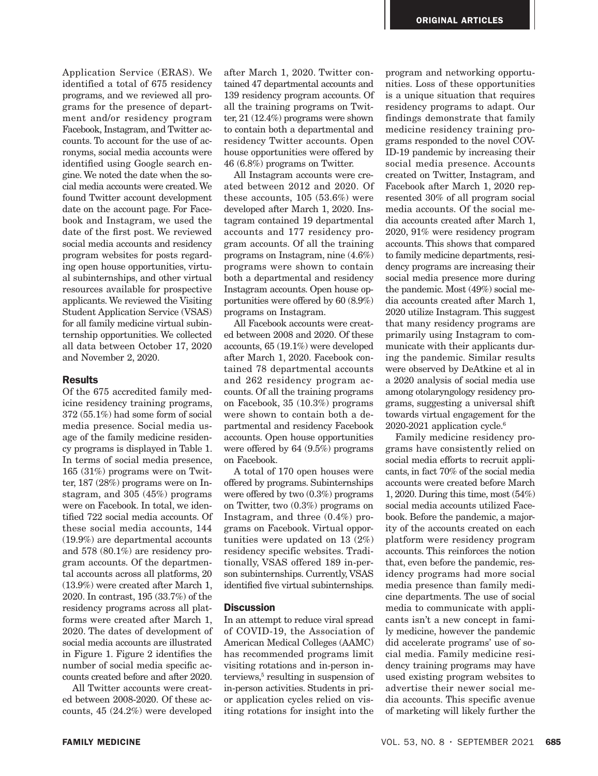Application Service (ERAS). We identified a total of 675 residency programs, and we reviewed all programs for the presence of department and/or residency program Facebook, Instagram, and Twitter accounts. To account for the use of acronyms, social media accounts were identified using Google search engine. We noted the date when the social media accounts were created. We found Twitter account development date on the account page. For Facebook and Instagram, we used the date of the first post. We reviewed social media accounts and residency program websites for posts regarding open house opportunities, virtual subinternships, and other virtual resources available for prospective applicants. We reviewed the Visiting Student Application Service (VSAS) for all family medicine virtual subinternship opportunities. We collected all data between October 17, 2020 and November 2, 2020.

#### **Results**

Of the 675 accredited family medicine residency training programs, 372 (55.1%) had some form of social media presence. Social media usage of the family medicine residency programs is displayed in Table 1. In terms of social media presence, 165 (31%) programs were on Twitter, 187 (28%) programs were on Instagram, and 305 (45%) programs were on Facebook. In total, we identified 722 social media accounts. Of these social media accounts, 144 (19.9%) are departmental accounts and 578 (80.1%) are residency program accounts. Of the departmental accounts across all platforms, 20 (13.9%) were created after March 1, 2020. In contrast, 195 (33.7%) of the residency programs across all platforms were created after March 1, 2020. The dates of development of social media accounts are illustrated in Figure 1. Figure 2 identifies the number of social media specific accounts created before and after 2020.

All Twitter accounts were created between 2008-2020. Of these accounts, 45 (24.2%) were developed after March 1, 2020. Twitter contained 47 departmental accounts and 139 residency program accounts. Of all the training programs on Twitter, 21 (12.4%) programs were shown to contain both a departmental and residency Twitter accounts. Open house opportunities were offered by 46 (6.8%) programs on Twitter.

All Instagram accounts were created between 2012 and 2020. Of these accounts, 105 (53.6%) were developed after March 1, 2020. Instagram contained 19 departmental accounts and 177 residency program accounts. Of all the training programs on Instagram, nine (4.6%) programs were shown to contain both a departmental and residency Instagram accounts. Open house opportunities were offered by 60 (8.9%) programs on Instagram.

All Facebook accounts were created between 2008 and 2020. Of these accounts, 65 (19.1%) were developed after March 1, 2020. Facebook contained 78 departmental accounts and 262 residency program accounts. Of all the training programs on Facebook, 35 (10.3%) programs were shown to contain both a departmental and residency Facebook accounts. Open house opportunities were offered by 64 (9.5%) programs on Facebook.

A total of 170 open houses were offered by programs. Subinternships were offered by two (0.3%) programs on Twitter, two (0.3%) programs on Instagram, and three (0.4%) programs on Facebook. Virtual opportunities were updated on 13 (2%) residency specific websites. Traditionally, VSAS offered 189 in-person subinternships. Currently, VSAS identified five virtual subinternships.

### **Discussion**

In an attempt to reduce viral spread of COVID-19, the Association of American Medical Colleges (AAMC) has recommended programs limit visiting rotations and in-person interviews,<sup>5</sup> resulting in suspension of in-person activities. Students in prior application cycles relied on visiting rotations for insight into the

program and networking opportunities. Loss of these opportunities is a unique situation that requires residency programs to adapt. Our findings demonstrate that family medicine residency training programs responded to the novel COV-ID-19 pandemic by increasing their social media presence. Accounts created on Twitter, Instagram, and Facebook after March 1, 2020 represented 30% of all program social media accounts. Of the social media accounts created after March 1, 2020, 91% were residency program accounts. This shows that compared to family medicine departments, residency programs are increasing their social media presence more during the pandemic. Most (49%) social media accounts created after March 1, 2020 utilize Instagram. This suggest that many residency programs are primarily using Instagram to communicate with their applicants during the pandemic. Similar results were observed by DeAtkine et al in a 2020 analysis of social media use among otolaryngology residency programs, suggesting a universal shift towards virtual engagement for the  $2020-2021$  application cycle.<sup>6</sup>

Family medicine residency programs have consistently relied on social media efforts to recruit applicants, in fact 70% of the social media accounts were created before March 1, 2020. During this time, most (54%) social media accounts utilized Facebook. Before the pandemic, a majority of the accounts created on each platform were residency program accounts. This reinforces the notion that, even before the pandemic, residency programs had more social media presence than family medicine departments. The use of social media to communicate with applicants isn't a new concept in family medicine, however the pandemic did accelerate programs' use of social media. Family medicine residency training programs may have used existing program websites to advertise their newer social media accounts. This specific avenue of marketing will likely further the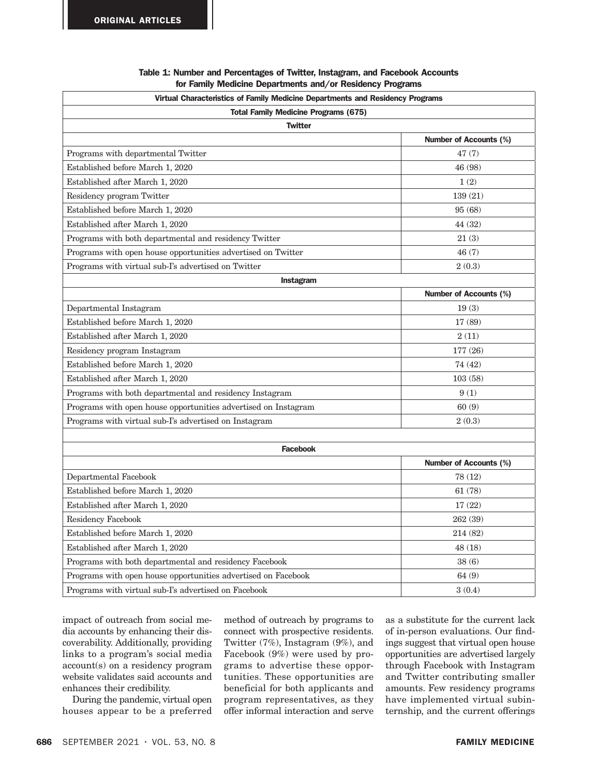| Virtual Characteristics of Family Medicine Departments and Residency Programs |                               |
|-------------------------------------------------------------------------------|-------------------------------|
| <b>Total Family Medicine Programs (675)</b>                                   |                               |
| <b>Twitter</b>                                                                |                               |
|                                                                               | <b>Number of Accounts (%)</b> |
| Programs with departmental Twitter                                            | 47(7)                         |
| Established before March 1, 2020                                              | 46 (98)                       |
| Established after March 1, 2020                                               | 1(2)                          |
| Residency program Twitter                                                     | 139 (21)                      |
| Established before March 1, 2020                                              | 95 (68)                       |
| Established after March 1, 2020                                               | 44 (32)                       |
| Programs with both departmental and residency Twitter                         | 21(3)                         |
| Programs with open house opportunities advertised on Twitter                  | 46(7)                         |
| Programs with virtual sub-I's advertised on Twitter                           | 2(0.3)                        |
| Instagram                                                                     |                               |
|                                                                               | <b>Number of Accounts (%)</b> |
| Departmental Instagram                                                        | 19(3)                         |
| Established before March 1, 2020                                              | 17 (89)                       |
| Established after March 1, 2020                                               | 2(11)                         |
| Residency program Instagram                                                   | 177 (26)                      |
| Established before March 1, 2020                                              | 74 (42)                       |
| Established after March 1, 2020                                               | 103(58)                       |
| Programs with both departmental and residency Instagram                       | 9(1)                          |
| Programs with open house opportunities advertised on Instagram                | 60(9)                         |
| Programs with virtual sub-I's advertised on Instagram                         | 2(0.3)                        |
|                                                                               |                               |
| <b>Facebook</b>                                                               |                               |
|                                                                               | <b>Number of Accounts (%)</b> |
| Departmental Facebook                                                         | 78 (12)                       |
| Established before March 1, 2020                                              | 61(78)                        |
| Established after March 1, 2020                                               | 17(22)                        |
| Residency Facebook                                                            | 262 (39)                      |
| Established before March 1, 2020                                              | 214 (82)                      |
| Established after March 1, 2020                                               | 48 (18)                       |
| Programs with both departmental and residency Facebook                        | 38(6)                         |
| Programs with open house opportunities advertised on Facebook                 | 64(9)                         |
| Programs with virtual sub-I's advertised on Facebook                          | 3(0.4)                        |

### Table 1: Number and Percentages of Twitter, Instagram, and Facebook Accounts for Family Medicine Departments and/or Residency Programs

impact of outreach from social media accounts by enhancing their discoverability. Additionally, providing links to a program's social media account(s) on a residency program website validates said accounts and enhances their credibility.

During the pandemic, virtual open houses appear to be a preferred

method of outreach by programs to connect with prospective residents. Twitter (7%), Instagram (9%), and Facebook (9%) were used by programs to advertise these opportunities. These opportunities are beneficial for both applicants and program representatives, as they offer informal interaction and serve

as a substitute for the current lack of in-person evaluations. Our findings suggest that virtual open house opportunities are advertised largely through Facebook with Instagram and Twitter contributing smaller amounts. Few residency programs have implemented virtual subinternship, and the current offerings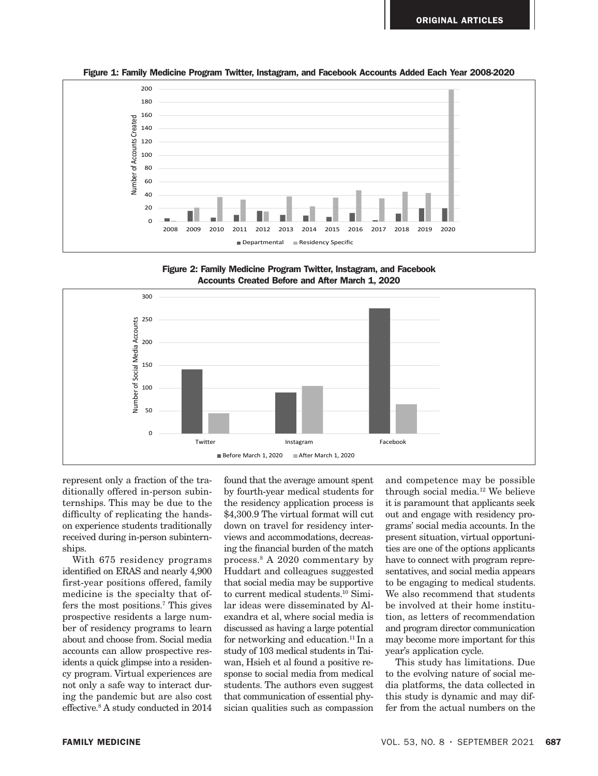

Figure 1: Family Medicine Program Twitter, Instagram, and Facebook Accounts Added Each Year 2008-2020

Figure 2: Family Medicine Program Twitter, Instagram, and Facebook 2008-2020. Accounts Created Before and After March 1, 2020



represent only a fraction of the traditionally offered in-person subinternships. This may be due to the difficulty of replicating the handson experience students traditionally received during in-person subinternships.

With 675 residency programs identified on ERAS and nearly 4,900 first-year positions offered, family medicine is the specialty that offers the most positions.7 This gives prospective residents a large number of residency programs to learn about and choose from. Social media accounts can allow prospective residents a quick glimpse into a residency program. Virtual experiences are not only a safe way to interact during the pandemic but are also cost effective.8 A study conducted in 2014

*r* a fraction of the tra- found that the average amount spent and competence m by fourth-year medical students for the residency application process is \$4,300.9 The virtual format will cut down on travel for residency interviews and accommodations, decreasing the financial burden of the match process.8 A 2020 commentary by Huddart and colleagues suggested that social media may be supportive to current medical students.10 Similar ideas were disseminated by Alexandra et al, where social media is discussed as having a large potential for networking and education.<sup>11</sup> In a study of 103 medical students in Taiwan, Hsieh et al found a positive response to social media from medical students. The authors even suggest that communication of essential physician qualities such as compassion

and competence may be possible through social media.12 We believe it is paramount that applicants seek out and engage with residency programs' social media accounts. In the present situation, virtual opportunities are one of the options applicants have to connect with program representatives, and social media appears to be engaging to medical students. We also recommend that students be involved at their home institution, as letters of recommendation and program director communication may become more important for this year's application cycle.

This study has limitations. Due to the evolving nature of social media platforms, the data collected in this study is dynamic and may differ from the actual numbers on the